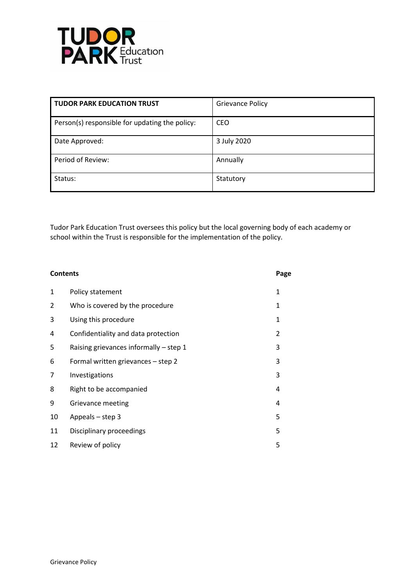

| <b>TUDOR PARK EDUCATION TRUST</b>              | <b>Grievance Policy</b> |
|------------------------------------------------|-------------------------|
| Person(s) responsible for updating the policy: | <b>CEO</b>              |
| Date Approved:                                 | 3 July 2020             |
| Period of Review:                              | Annually                |
| Status:                                        | Statutory               |

Tudor Park Education Trust oversees this policy but the local governing body of each academy or school within the Trust is responsible for the implementation of the policy.

| <b>Contents</b> |                                          | Page |
|-----------------|------------------------------------------|------|
| 1               | Policy statement                         | 1    |
| 2               | Who is covered by the procedure          | 1    |
| 3               | Using this procedure                     | 1    |
| 4               | Confidentiality and data protection      | 2    |
| 5               | Raising grievances informally $-$ step 1 | 3    |
| 6               | Formal written grievances - step 2       | 3    |
| 7               | Investigations                           | 3    |
| 8               | Right to be accompanied                  | 4    |
| 9               | Grievance meeting                        | 4    |
| 10              | Appeals - step 3                         | 5    |
| 11              | Disciplinary proceedings                 | 5    |
| 12              | Review of policy                         | 5    |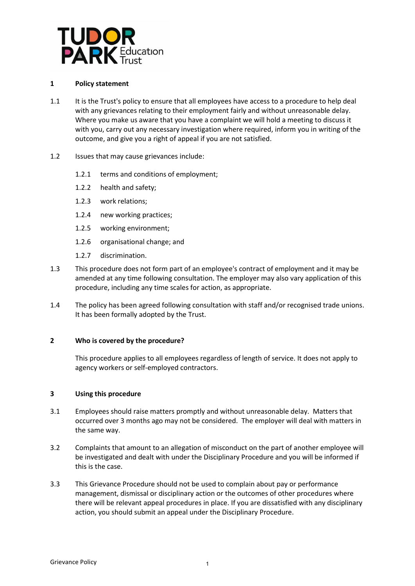

# **1 Policy statement**

- 1.1 It is the Trust's policy to ensure that all employees have access to a procedure to help deal with any grievances relating to their employment fairly and without unreasonable delay. Where you make us aware that you have a complaint we will hold a meeting to discuss it with you, carry out any necessary investigation where required, inform you in writing of the outcome, and give you a right of appeal if you are not satisfied.
- 1.2 Issues that may cause grievances include:
	- 1.2.1 terms and conditions of employment;
	- 1.2.2 health and safety;
	- 1.2.3 work relations;
	- 1.2.4 new working practices;
	- 1.2.5 working environment;
	- 1.2.6 organisational change; and
	- 1.2.7 discrimination.
- 1.3 This procedure does not form part of an employee's contract of employment and it may be amended at any time following consultation. The employer may also vary application of this procedure, including any time scales for action, as appropriate.
- 1.4 The policy has been agreed following consultation with staff and/or recognised trade unions. It has been formally adopted by the Trust.

# **2 Who is covered by the procedure?**

This procedure applies to all employees regardless of length of service. It does not apply to agency workers or self-employed contractors.

# **3 Using this procedure**

- 3.1 Employees should raise matters promptly and without unreasonable delay. Matters that occurred over 3 months ago may not be considered. The employer will deal with matters in the same way.
- 3.2 Complaints that amount to an allegation of misconduct on the part of another employee will be investigated and dealt with under the Disciplinary Procedure and you will be informed if this is the case.
- 3.3 This Grievance Procedure should not be used to complain about pay or performance management, dismissal or disciplinary action or the outcomes of other procedures where there will be relevant appeal procedures in place. If you are dissatisfied with any disciplinary action, you should submit an appeal under the Disciplinary Procedure.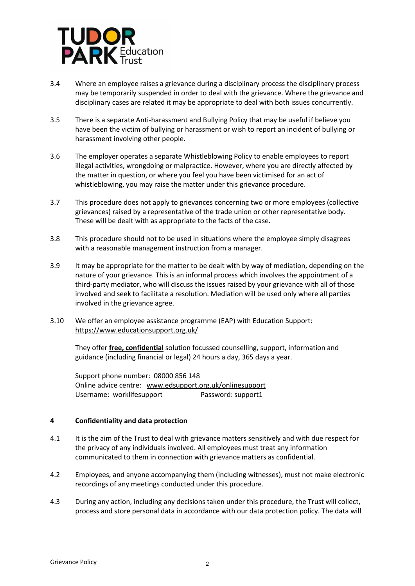

- 3.4 Where an employee raises a grievance during a disciplinary process the disciplinary process may be temporarily suspended in order to deal with the grievance. Where the grievance and disciplinary cases are related it may be appropriate to deal with both issues concurrently.
- 3.5 There is a separate Anti-harassment and Bullying Policy that may be useful if believe you have been the victim of bullying or harassment or wish to report an incident of bullying or harassment involving other people.
- 3.6 The employer operates a separate Whistleblowing Policy to enable employees to report illegal activities, wrongdoing or malpractice. However, where you are directly affected by the matter in question, or where you feel you have been victimised for an act of whistleblowing, you may raise the matter under this grievance procedure.
- 3.7 This procedure does not apply to grievances concerning two or more employees (collective grievances) raised by a representative of the trade union or other representative body. These will be dealt with as appropriate to the facts of the case.
- 3.8 This procedure should not to be used in situations where the employee simply disagrees with a reasonable management instruction from a manager.
- 3.9 It may be appropriate for the matter to be dealt with by way of mediation, depending on the nature of your grievance. This is an informal process which involves the appointment of a third-party mediator, who will discuss the issues raised by your grievance with all of those involved and seek to facilitate a resolution. Mediation will be used only where all parties involved in the grievance agree.
- 3.10 We offer an employee assistance programme (EAP) with Education Support: <https://www.educationsupport.org.uk/>

They offer **free, confidential** solution focussed counselling, support, information and guidance (including financial or legal) 24 hours a day, 365 days a year.

Support phone number: 08000 856 148 Online advice centre: [www.edsupport.org.uk/onlinesupport](http://www.edsupport.org.uk/onlinesupport) Username: worklifesupport Password: support1

# **4 Confidentiality and data protection**

- 4.1 It is the aim of the Trust to deal with grievance matters sensitively and with due respect for the privacy of any individuals involved. All employees must treat any information communicated to them in connection with grievance matters as confidential.
- 4.2 Employees, and anyone accompanying them (including witnesses), must not make electronic recordings of any meetings conducted under this procedure.
- 4.3 During any action, including any decisions taken under this procedure, the Trust will collect, process and store personal data in accordance with our data protection policy. The data will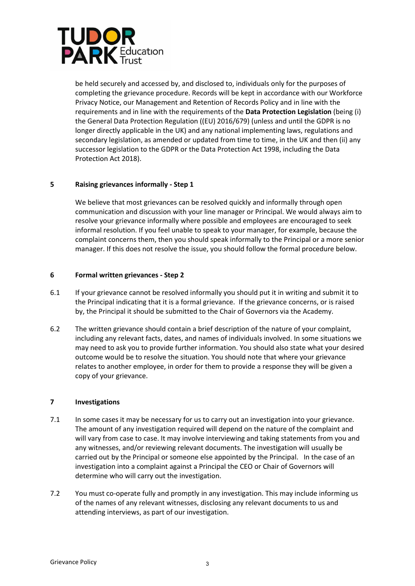

be held securely and accessed by, and disclosed to, individuals only for the purposes of completing the grievance procedure. Records will be kept in accordance with our Workforce Privacy Notice, our Management and Retention of Records Policy and in line with the requirements and in line with the requirements of the **Data Protection Legislation** (being (i) the General Data Protection Regulation ((EU) 2016/679) (unless and until the GDPR is no longer directly applicable in the UK) and any national implementing laws, regulations and secondary legislation, as amended or updated from time to time, in the UK and then (ii) any successor legislation to the GDPR or the Data Protection Act 1998, including the Data Protection Act 2018).

# **5 Raising grievances informally - Step 1**

We believe that most grievances can be resolved quickly and informally through open communication and discussion with your line manager or Principal. We would always aim to resolve your grievance informally where possible and employees are encouraged to seek informal resolution. If you feel unable to speak to your manager, for example, because the complaint concerns them, then you should speak informally to the Principal or a more senior manager. If this does not resolve the issue, you should follow the formal procedure below.

# **6 Formal written grievances - Step 2**

- 6.1 If your grievance cannot be resolved informally you should put it in writing and submit it to the Principal indicating that it is a formal grievance. If the grievance concerns, or is raised by, the Principal it should be submitted to the Chair of Governors via the Academy.
- 6.2 The written grievance should contain a brief description of the nature of your complaint, including any relevant facts, dates, and names of individuals involved. In some situations we may need to ask you to provide further information. You should also state what your desired outcome would be to resolve the situation. You should note that where your grievance relates to another employee, in order for them to provide a response they will be given a copy of your grievance.

# **7 Investigations**

- 7.1 In some cases it may be necessary for us to carry out an investigation into your grievance. The amount of any investigation required will depend on the nature of the complaint and will vary from case to case. It may involve interviewing and taking statements from you and any witnesses, and/or reviewing relevant documents. The investigation will usually be carried out by the Principal or someone else appointed by the Principal. In the case of an investigation into a complaint against a Principal the CEO or Chair of Governors will determine who will carry out the investigation.
- 7.2 You must co-operate fully and promptly in any investigation. This may include informing us of the names of any relevant witnesses, disclosing any relevant documents to us and attending interviews, as part of our investigation.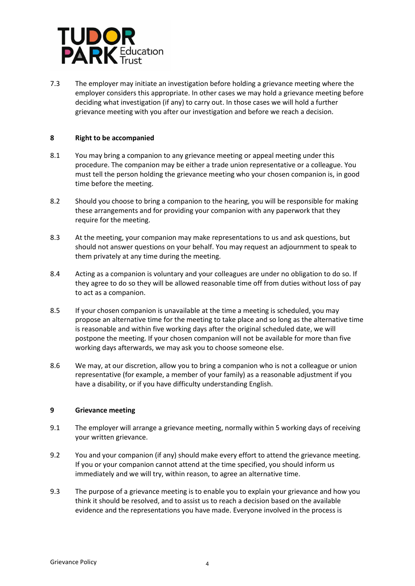

7.3 The employer may initiate an investigation before holding a grievance meeting where the employer considers this appropriate. In other cases we may hold a grievance meeting before deciding what investigation (if any) to carry out. In those cases we will hold a further grievance meeting with you after our investigation and before we reach a decision.

# <span id="page-4-0"></span>**8 Right to be accompanied**

- 8.1 You may bring a companion to any grievance meeting or appeal meeting under this procedure. The companion may be either a trade union representative or a colleague. You must tell the person holding the grievance meeting who your chosen companion is, in good time before the meeting.
- 8.2 Should you choose to bring a companion to the hearing, you will be responsible for making these arrangements and for providing your companion with any paperwork that they require for the meeting.
- 8.3 At the meeting, your companion may make representations to us and ask questions, but should not answer questions on your behalf. You may request an adjournment to speak to them privately at any time during the meeting.
- 8.4 Acting as a companion is voluntary and your colleagues are under no obligation to do so. If they agree to do so they will be allowed reasonable time off from duties without loss of pay to act as a companion.
- 8.5 If your chosen companion is unavailable at the time a meeting is scheduled, you may propose an alternative time for the meeting to take place and so long as the alternative time is reasonable and within five working days after the original scheduled date, we will postpone the meeting. If your chosen companion will not be available for more than five working days afterwards, we may ask you to choose someone else.
- 8.6 We may, at our discretion, allow you to bring a companion who is not a colleague or union representative (for example, a member of your family) as a reasonable adjustment if you have a disability, or if you have difficulty understanding English.

# **9 Grievance meeting**

- 9.1 The employer will arrange a grievance meeting, normally within 5 working days of receiving your written grievance.
- 9.2 You and your companion (if any) should make every effort to attend the grievance meeting. If you or your companion cannot attend at the time specified, you should inform us immediately and we will try, within reason, to agree an alternative time.
- 9.3 The purpose of a grievance meeting is to enable you to explain your grievance and how you think it should be resolved, and to assist us to reach a decision based on the available evidence and the representations you have made. Everyone involved in the process is